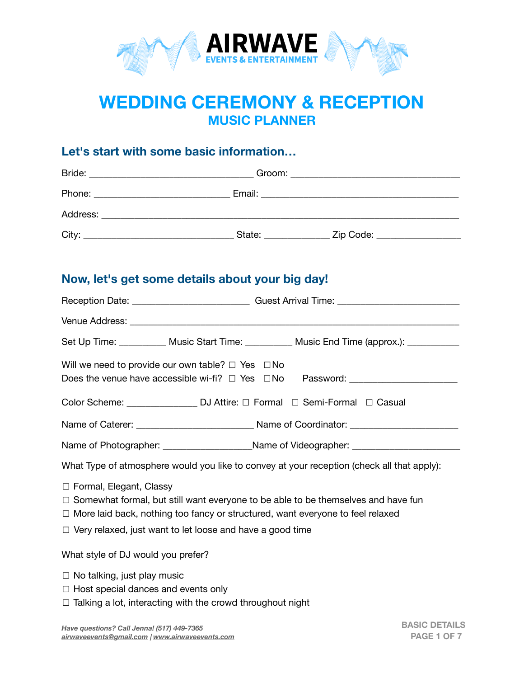

# **WEDDING CEREMONY & RECEPTION MUSIC PLANNER**

# **Let's start with some basic information…**

| Bride:                          |                                                                                                                                                                                                                                |           |
|---------------------------------|--------------------------------------------------------------------------------------------------------------------------------------------------------------------------------------------------------------------------------|-----------|
| Phone: ________________________ | Email: Email: Email: Email: Email: Email: Email: Email: Email: Email: Email: Email: Email: Email: Email: Email: Email: Email: Email: Email: Email: Email: Email: Email: Email: Email: Email: Email: Email: Email: Email: Email |           |
| Address:                        |                                                                                                                                                                                                                                |           |
| City:                           | State:                                                                                                                                                                                                                         | Zip Code: |

# **Now, let's get some details about your big day!**

|                                                                                            | Reception Date: ________________________________Guest Arrival Time: ________________________________ |  |
|--------------------------------------------------------------------------------------------|------------------------------------------------------------------------------------------------------|--|
|                                                                                            |                                                                                                      |  |
|                                                                                            | Set Up Time: ___________ Music Start Time: __________ Music End Time (approx.): __________           |  |
| Will we need to provide our own table? $\Box$ Yes $\Box$ No                                | Does the venue have accessible wi-fi? □ Yes □No Password: ______________________                     |  |
|                                                                                            | Color Scheme: __________________ DJ Attire: □ Formal □ Semi-Formal □ Casual                          |  |
|                                                                                            |                                                                                                      |  |
|                                                                                            | Name of Photographer: ________________________Name of Videographer: _____________                    |  |
| What Type of atmosphere would you like to convey at your reception (check all that apply): |                                                                                                      |  |
| □ Formal, Elegant, Classy                                                                  |                                                                                                      |  |

- □ Somewhat formal, but still want everyone to be able to be themselves and have fun
- ☐ More laid back, nothing too fancy or structured, want everyone to feel relaxed
- ☐ Very relaxed, just want to let loose and have a good time

What style of DJ would you prefer?

- $\Box$  No talking, just play music
- $\Box$  Host special dances and events only
- □ Talking a lot, interacting with the crowd throughout night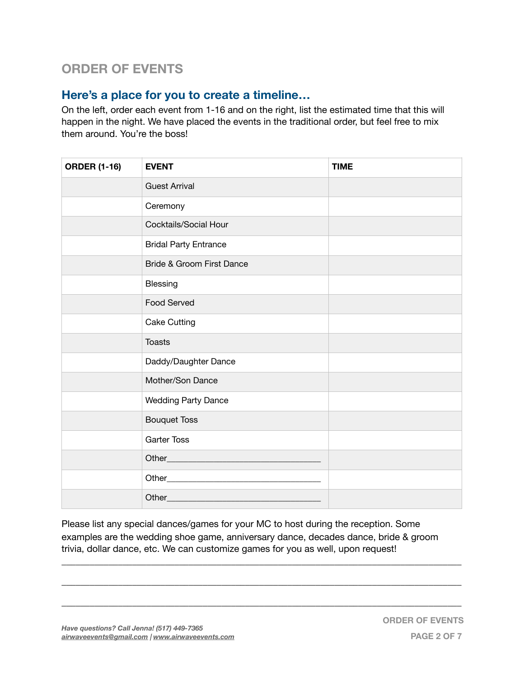# **ORDER OF EVENTS**

# **Here's a place for you to create a timeline…**

On the left, order each event from 1-16 and on the right, list the estimated time that this will happen in the night. We have placed the events in the traditional order, but feel free to mix them around. You're the boss!

| <b>ORDER (1-16)</b> | <b>EVENT</b>                 | <b>TIME</b> |
|---------------------|------------------------------|-------------|
|                     | <b>Guest Arrival</b>         |             |
|                     | Ceremony                     |             |
|                     | Cocktails/Social Hour        |             |
|                     | <b>Bridal Party Entrance</b> |             |
|                     | Bride & Groom First Dance    |             |
|                     | Blessing                     |             |
|                     | Food Served                  |             |
|                     | <b>Cake Cutting</b>          |             |
|                     | <b>Toasts</b>                |             |
|                     | Daddy/Daughter Dance         |             |
|                     | Mother/Son Dance             |             |
|                     | <b>Wedding Party Dance</b>   |             |
|                     | <b>Bouquet Toss</b>          |             |
|                     | <b>Garter Toss</b>           |             |
|                     |                              |             |
|                     |                              |             |
|                     | Other___________             |             |

Please list any special dances/games for your MC to host during the reception. Some examples are the wedding shoe game, anniversary dance, decades dance, bride & groom trivia, dollar dance, etc. We can customize games for you as well, upon request!

\_\_\_\_\_\_\_\_\_\_\_\_\_\_\_\_\_\_\_\_\_\_\_\_\_\_\_\_\_\_\_\_\_\_\_\_\_\_\_\_\_\_\_\_\_\_\_\_\_\_\_\_\_\_\_\_\_\_\_\_\_\_\_\_\_\_\_\_\_\_\_\_\_\_\_\_\_\_\_\_\_\_\_\_\_

\_\_\_\_\_\_\_\_\_\_\_\_\_\_\_\_\_\_\_\_\_\_\_\_\_\_\_\_\_\_\_\_\_\_\_\_\_\_\_\_\_\_\_\_\_\_\_\_\_\_\_\_\_\_\_\_\_\_\_\_\_\_\_\_\_\_\_\_\_\_\_\_\_\_\_\_\_\_\_\_\_\_\_\_\_

\_\_\_\_\_\_\_\_\_\_\_\_\_\_\_\_\_\_\_\_\_\_\_\_\_\_\_\_\_\_\_\_\_\_\_\_\_\_\_\_\_\_\_\_\_\_\_\_\_\_\_\_\_\_\_\_\_\_\_\_\_\_\_\_\_\_\_\_\_\_\_\_\_\_\_\_\_\_\_\_\_\_\_\_\_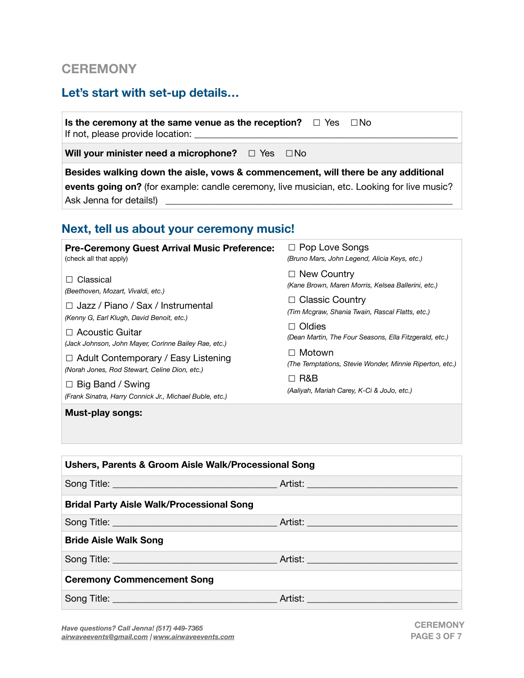# **CEREMONY**

# **Let's start with set-up details…**

**Is the ceremony at the same venue as the reception?**  $□$  Yes  $□$  No If not, please provide location:

**Will your minister need a microphone?** □ Yes □No

**Besides walking down the aisle, vows & commencement, will there be any additional events going on?** (for example: candle ceremony, live musician, etc. Looking for live music? Ask Jenna for details!)

# **Next, tell us about your ceremony music!**

| <b>Pre-Ceremony Guest Arrival Music Preference:</b>                                                                                                                                                                                  | $\Box$ Pop Love Songs                                                                                                                                                                                                            |
|--------------------------------------------------------------------------------------------------------------------------------------------------------------------------------------------------------------------------------------|----------------------------------------------------------------------------------------------------------------------------------------------------------------------------------------------------------------------------------|
| (check all that apply)                                                                                                                                                                                                               | (Bruno Mars, John Legend, Alicia Keys, etc.)                                                                                                                                                                                     |
| Classical<br>$\Box$<br>(Beethoven, Mozart, Vivaldi, etc.)<br>$\Box$ Jazz / Piano / Sax / Instrumental<br>(Kenny G, Earl Klugh, David Benoit, etc.)<br>$\Box$ Acoustic Guitar<br>(Jack Johnson, John Mayer, Corinne Bailey Rae, etc.) | $\Box$ New Country<br>(Kane Brown, Maren Morris, Kelsea Ballerini, etc.)<br>$\Box$ Classic Country<br>(Tim Mcgraw, Shania Twain, Rascal Flatts, etc.)<br>$\Box$ Oldies<br>(Dean Martin, The Four Seasons, Ella Fitzgerald, etc.) |
| $\Box$ Adult Contemporary / Easy Listening                                                                                                                                                                                           | ⊟Motown                                                                                                                                                                                                                          |
| (Norah Jones, Rod Stewart, Celine Dion, etc.)                                                                                                                                                                                        | (The Temptations, Stevie Wonder, Minnie Riperton, etc.)                                                                                                                                                                          |
| $\Box$ Big Band / Swing                                                                                                                                                                                                              | $\Box$ R&B                                                                                                                                                                                                                       |
| (Frank Sinatra, Harry Connick Jr., Michael Buble, etc.)                                                                                                                                                                              | (Aaliyah, Mariah Carey, K-Ci & JoJo, etc.)                                                                                                                                                                                       |
| <b>Must-play songs:</b>                                                                                                                                                                                                              |                                                                                                                                                                                                                                  |

| Ushers, Parents & Groom Aisle Walk/Processional Song |  |  |  |
|------------------------------------------------------|--|--|--|
|                                                      |  |  |  |
| <b>Bridal Party Aisle Walk/Processional Song</b>     |  |  |  |
|                                                      |  |  |  |
| <b>Bride Aisle Walk Song</b>                         |  |  |  |
|                                                      |  |  |  |
| <b>Ceremony Commencement Song</b>                    |  |  |  |
|                                                      |  |  |  |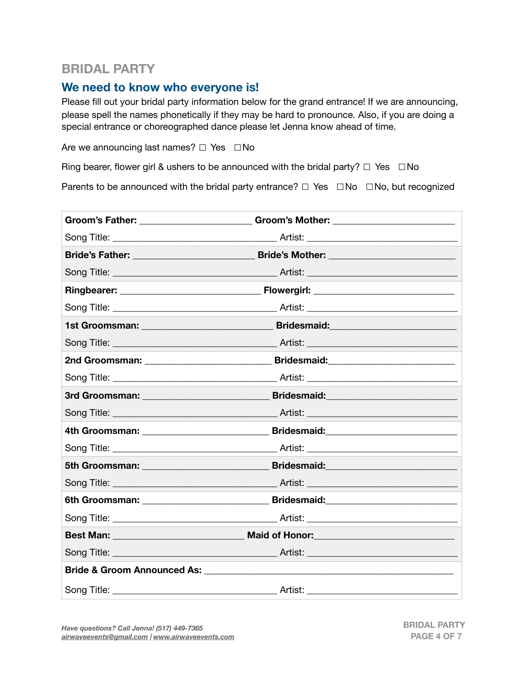# **BRIDAL PARTY**

### **We need to know who everyone is!**

Please fill out your bridal party information below for the grand entrance! If we are announcing, please spell the names phonetically if they may be hard to pronounce. Also, if you are doing a special entrance or choreographed dance please let Jenna know ahead of time.

Are we announcing last names?  $□$  Yes  $□$ No

Ring bearer, flower girl & ushers to be announced with the bridal party?  $\Box$  Yes  $\Box$  No

Parents to be announced with the bridal party entrance?  $\Box$  Yes  $\Box$  No  $\Box$  No, but recognized

| 1st Groomsman: _____________________________ | Bridesmaid: National Pridesman Andrew Pridesman Andrew Pridesman                                                                                                                                                               |  |
|----------------------------------------------|--------------------------------------------------------------------------------------------------------------------------------------------------------------------------------------------------------------------------------|--|
|                                              |                                                                                                                                                                                                                                |  |
|                                              |                                                                                                                                                                                                                                |  |
|                                              |                                                                                                                                                                                                                                |  |
|                                              | Bridesmaid: National Communications of the State Communications of the State Communications of the State Communications of the State Communications of the State Communications of the State Communications of the State Commu |  |
|                                              |                                                                                                                                                                                                                                |  |
|                                              |                                                                                                                                                                                                                                |  |
|                                              |                                                                                                                                                                                                                                |  |
|                                              |                                                                                                                                                                                                                                |  |
|                                              |                                                                                                                                                                                                                                |  |
|                                              |                                                                                                                                                                                                                                |  |
|                                              |                                                                                                                                                                                                                                |  |
|                                              | Best Man: ___________________________________ Maid of Honor:____________________                                                                                                                                               |  |
|                                              |                                                                                                                                                                                                                                |  |
|                                              |                                                                                                                                                                                                                                |  |
|                                              |                                                                                                                                                                                                                                |  |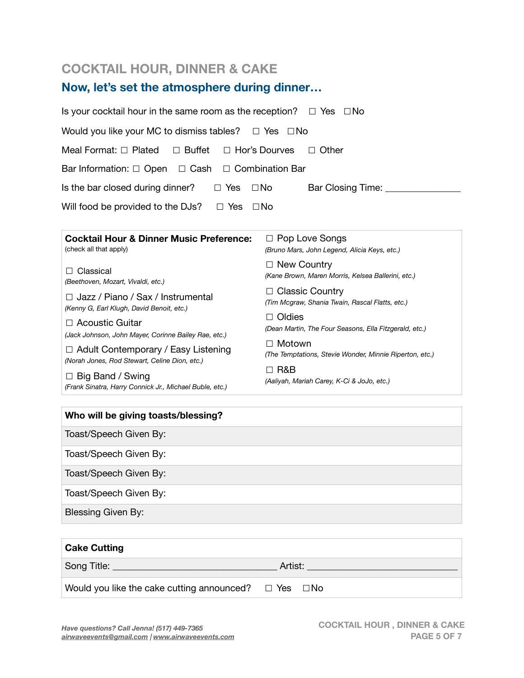# **COCKTAIL HOUR, DINNER & CAKE**

# **Now, let's set the atmosphere during dinner…**

| Is your cocktail hour in the same room as the reception? $\Box$ Yes $\Box$ No |                                                                           |  |  |  |
|-------------------------------------------------------------------------------|---------------------------------------------------------------------------|--|--|--|
| Would you like your MC to dismiss tables? $\square$ Yes $\square$ No          |                                                                           |  |  |  |
| Meal Format: $\Box$ Plated<br>$\Box$ Buffet<br>$\Box$ Hor's Dourves           | $\Box$ Other                                                              |  |  |  |
| Bar Information: $\Box$ Open $\Box$ Cash $\Box$ Combination Bar               |                                                                           |  |  |  |
| Is the bar closed during dinner?<br>$\Box$ Yes                                | $\square$ No<br>Bar Closing Time: _____                                   |  |  |  |
| Will food be provided to the DJs?<br>$\Box$ Yes $\Box$ No                     |                                                                           |  |  |  |
|                                                                               |                                                                           |  |  |  |
| <b>Cocktail Hour &amp; Dinner Music Preference:</b>                           | $\Box$ Pop Love Songs                                                     |  |  |  |
| (check all that apply)                                                        | (Bruno Mars, John Legend, Alicia Keys, etc.)                              |  |  |  |
|                                                                               | $\Box$ New Country                                                        |  |  |  |
| Classical<br>$\mathsf{L}$<br>(Beethoven, Mozart, Vivaldi, etc.)               | (Kane Brown, Maren Morris, Kelsea Ballerini, etc.)                        |  |  |  |
|                                                                               | $\Box$ Classic Country<br>(Tim Mcgraw, Shania Twain, Rascal Flatts, etc.) |  |  |  |
| $\Box$ Jazz / Piano / Sax / Instrumental                                      |                                                                           |  |  |  |
| (Kenny G, Earl Klugh, David Benoit, etc.)                                     | $\Box$ Oldies                                                             |  |  |  |
| $\Box$ Acoustic Guitar                                                        | (Dean Martin, The Four Seasons, Ella Fitzgerald, etc.)                    |  |  |  |
| (Jack Johnson, John Mayer, Corinne Bailey Rae, etc.)                          | Motown<br>(The Temptations, Stevie Wonder, Minnie Riperton, etc.)         |  |  |  |
| $\Box$ Adult Contemporary / Easy Listening                                    |                                                                           |  |  |  |
| (Norah Jones, Rod Stewart, Celine Dion, etc.)                                 |                                                                           |  |  |  |

☐ Big Band / Swing *(Frank Sinatra, Harry Connick Jr., Michael Buble, etc.)* ☐ R&B *(Aaliyah, Mariah Carey, K-Ci & JoJo, etc.)*

#### **Who will be giving toasts/blessing?**

Toast/Speech Given By:

Toast/Speech Given By:

Toast/Speech Given By:

Toast/Speech Given By:

Blessing Given By:

| <b>Cake Cutting</b>                                                   |         |
|-----------------------------------------------------------------------|---------|
| Song Title: <u>Song</u>                                               | Artist: |
| Would you like the cake cutting announced? $\square$ Yes $\square$ No |         |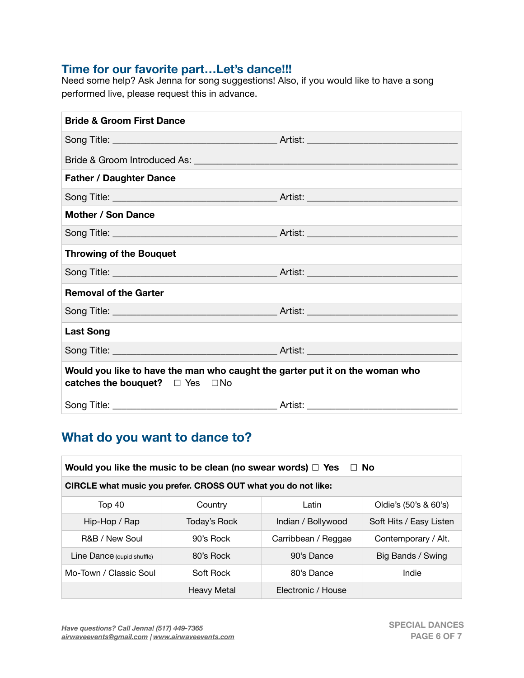### **Time for our favorite part…Let's dance!!!**

Need some help? Ask Jenna for song suggestions! Also, if you would like to have a song performed live, please request this in advance.

| <b>Bride &amp; Groom First Dance</b>                                                                                      |  |  |
|---------------------------------------------------------------------------------------------------------------------------|--|--|
|                                                                                                                           |  |  |
|                                                                                                                           |  |  |
| <b>Father / Daughter Dance</b>                                                                                            |  |  |
|                                                                                                                           |  |  |
| <b>Mother / Son Dance</b>                                                                                                 |  |  |
|                                                                                                                           |  |  |
| <b>Throwing of the Bouquet</b>                                                                                            |  |  |
|                                                                                                                           |  |  |
| <b>Removal of the Garter</b>                                                                                              |  |  |
|                                                                                                                           |  |  |
| <b>Last Song</b>                                                                                                          |  |  |
|                                                                                                                           |  |  |
| Would you like to have the man who caught the garter put it on the woman who<br>catches the bouquet? $\Box$ Yes $\Box$ No |  |  |
|                                                                                                                           |  |  |

# **What do you want to dance to?**

| Would you like the music to be clean (no swear words) $\Box$ Yes<br>$\Box$ No |                    |                     |                         |
|-------------------------------------------------------------------------------|--------------------|---------------------|-------------------------|
| CIRCLE what music you prefer. CROSS OUT what you do not like:                 |                    |                     |                         |
| Top 40                                                                        | Country            | Latin               | Oldie's (50's & 60's)   |
| Hip-Hop / Rap                                                                 | Today's Rock       | Indian / Bollywood  | Soft Hits / Easy Listen |
| <b>R&amp;B / New Soul</b>                                                     | 90's Rock          | Carribbean / Reggae | Contemporary / Alt.     |
| Line Dance (cupid shuffle)                                                    | 80's Rock          | 90's Dance          | Big Bands / Swing       |
| Mo-Town / Classic Soul                                                        | Soft Rock          | 80's Dance          | Indie                   |
|                                                                               | <b>Heavy Metal</b> | Electronic / House  |                         |